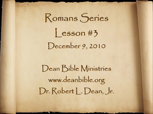# Romans Series  $\int$  esson #3 December 9, 2010

Dean Bible Ministries www.deanbible.org Dr. Robert L. Dean, Jr.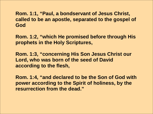## **Rom. 1:1, "Paul, a bondservant of Jesus Christ, called to be an apostle, separated to the gospel of God**

**Rom. 1:2, "which He promised before through His prophets in the Holy Scriptures,** 

**Rom. 1:3, "concerning His Son Jesus Christ our Lord, who was born of the seed of David according to the flesh,** 

**Rom. 1:4, "and declared to be the Son of God with power according to the Spirit of holiness, by the resurrection from the dead."**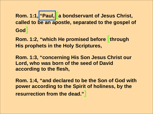Rom. 1:1, "Paul, a bondservant of Jesus Christ, **called to be an apostle, separated to the gospel of God]**

**Rom. 1:2, "which He promised before through His prophets in the Holy Scriptures,** 

**Rom. 1:3, "concerning His Son Jesus Christ our Lord, who was born of the seed of David according to the flesh,** 

**Rom. 1:4, "and declared to be the Son of God with power according to the Spirit of holiness, by the resurrection from the dead."]**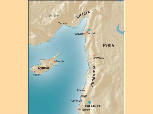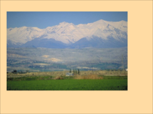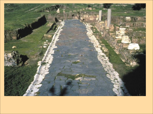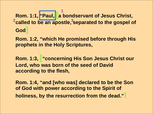**Rom. 1:1, "Paul, [a bondservant of Jesus Christ, called to be an apostle, separated to the gospel of God] 1**  $2$  $\sqrt{2}$   $\sqrt{2}$   $\sqrt{2}$   $\sqrt{2}$   $\sqrt{2}$   $\sqrt{2}$   $\sqrt{2}$   $\sqrt{2}$   $\sqrt{2}$   $\sqrt{2}$   $\sqrt{2}$   $\sqrt{2}$   $\sqrt{2}$   $\sqrt{2}$   $\sqrt{2}$   $\sqrt{2}$   $\sqrt{2}$   $\sqrt{2}$   $\sqrt{2}$   $\sqrt{2}$   $\sqrt{2}$   $\sqrt{2}$   $\sqrt{2}$   $\sqrt{2}$   $\sqrt{2}$   $\sqrt{2}$   $\sqrt{2}$ 

**Rom. 1:2, "which He promised before through His prophets in the Holy Scriptures,** 

**Rom. 1:3, ["concerning His Son Jesus Christ our Lord, who was born of the seed of David according to the flesh,** 

**Rom. 1:4, "and [who was] declared to be the Son of God with power according to the Spirit of holiness, by the resurrection from the dead."]**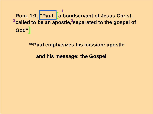**Rom. 1:1, "Paul, [a bondservant of Jesus Christ, called to be an apostle, separated to the gospel of God"] 1**  $2$  $\sqrt{3}$   $\sqrt{2}$   $\sqrt{4}$   $\sqrt{2}$ 

 **\*\*Paul emphasizes his mission: apostle**

 **and his message: the Gospel**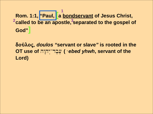Rom. 1:1, "Paul, a bondservant of Jesus Christ, God"

δούλος, doulos "servant or slave" is rooted in the OT use of יְצְבֵר־יְהוָה (ebed yhwh, servant of the Lord)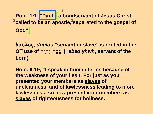**Rom. 1:1, "Paul, [a bondservant of Jesus Christ, called to be an apostle, separated to the gospel of God"] 1**  $2$  $\sqrt{2}$   $\sqrt{2}$   $\sqrt{2}$   $\sqrt{2}$   $\sqrt{2}$   $\sqrt{2}$   $\sqrt{2}$   $\sqrt{2}$   $\sqrt{2}$   $\sqrt{2}$   $\sqrt{2}$   $\sqrt{2}$   $\sqrt{2}$   $\sqrt{2}$   $\sqrt{2}$   $\sqrt{2}$   $\sqrt{2}$   $\sqrt{2}$   $\sqrt{2}$   $\sqrt{2}$   $\sqrt{2}$   $\sqrt{2}$   $\sqrt{2}$   $\sqrt{2}$   $\sqrt{2}$   $\sqrt{2}$   $\sqrt{2}$ 

**douvloß,** *doulos "***servant or slave***"* **is rooted in the OT use of** h D wh y\_d R bR o **(***ebed yhwh***, servant of the Lord)**

**Rom. 6:19, "I speak in human terms because of the weakness of your flesh. For just as you presented your members as slaves of uncleanness, and of lawlessness leading to more lawlessness, so now present your members as slaves of righteousness for holiness."**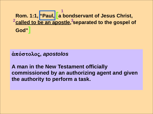**Rom. 1:1, "Paul, [a bondservant of Jesus Christ, called to be an apostle, separated to the gospel of God"] 1**  $2$  $\sqrt{2}$   $\sqrt{2}$   $\sqrt{2}$   $\sqrt{2}$   $\sqrt{2}$   $\sqrt{2}$   $\sqrt{2}$   $\sqrt{2}$   $\sqrt{2}$   $\sqrt{2}$   $\sqrt{2}$   $\sqrt{2}$   $\sqrt{2}$   $\sqrt{2}$   $\sqrt{2}$   $\sqrt{2}$   $\sqrt{2}$   $\sqrt{2}$   $\sqrt{2}$   $\sqrt{2}$   $\sqrt{2}$   $\sqrt{2}$   $\sqrt{2}$   $\sqrt{2}$   $\sqrt{2}$   $\sqrt{2}$   $\sqrt{2}$ 

**a Ópo /stoloß,** *apostolos*

**A man in the New Testament officially commissioned by an authorizing agent and given the authority to perform a task.**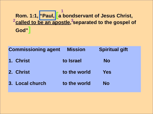#### **Rom. 1:1, "Paul, [a bondservant of Jesus Christ, called to be an apostle, separated to the gospel of God"] 1**  $2$  $\sqrt{2}$   $\sqrt{2}$   $\sqrt{2}$   $\sqrt{2}$   $\sqrt{2}$   $\sqrt{2}$   $\sqrt{2}$   $\sqrt{2}$   $\sqrt{2}$   $\sqrt{2}$   $\sqrt{2}$   $\sqrt{2}$   $\sqrt{2}$   $\sqrt{2}$   $\sqrt{2}$   $\sqrt{2}$   $\sqrt{2}$   $\sqrt{2}$   $\sqrt{2}$   $\sqrt{2}$   $\sqrt{2}$   $\sqrt{2}$   $\sqrt{2}$   $\sqrt{2}$   $\sqrt{2}$   $\sqrt{2}$   $\sqrt{2}$

| <b>Commissioning agent</b> | <b>Mission</b> | <b>Spiritual gift</b> |
|----------------------------|----------------|-----------------------|
| 1. Christ                  | to Israel      | <b>No</b>             |
| 2. Christ                  | to the world   | <b>Yes</b>            |
| 3. Local church            | to the world   | <b>No</b>             |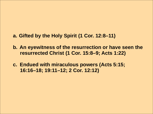- **a. Gifted by the Holy Spirit (1 Cor. 12:8–11)**
- **b. An eyewitness of the resurrection or have seen the resurrected Christ (1 Cor. 15:8–9; Acts 1:22)**
- **c. Endued with miraculous powers (Acts 5:15; 16:16–18; 19:11–12; 2 Cor. 12:12)**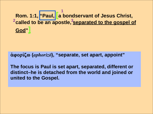# Rom. 1:1, "Paul, a bondservant of Jesus Christ, God"

### άφορίζω (*aphoriz* $\bar{o}$ ), "separate, set apart, appoint"

The focus is Paul is set apart, separated, different or distinct-he is detached from the world and joined or united to the Gospel.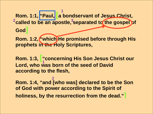#### **Rom. 1:1, "Paul, [a bondservant of Jesus Christ, called to be an apostle, separated to the gospel of God] 1**  $2$  $\sqrt{2}$   $\sqrt{2}$   $\sqrt{2}$   $\sqrt{2}$   $\sqrt{2}$   $\sqrt{2}$   $\sqrt{2}$   $\sqrt{2}$   $\sqrt{2}$   $\sqrt{2}$   $\sqrt{2}$   $\sqrt{2}$   $\sqrt{2}$   $\sqrt{2}$   $\sqrt{2}$   $\sqrt{2}$   $\sqrt{2}$   $\sqrt{2}$   $\sqrt{2}$   $\sqrt{2}$   $\sqrt{2}$   $\sqrt{2}$   $\sqrt{2}$   $\sqrt{2}$   $\sqrt{2}$   $\sqrt{2}$   $\sqrt{2}$

**Rom. 1:2, "which He promised before through His prophets in the Holy Scriptures,** 

Rom. 1:3, *L*"concerning His Son Jesus Christ our **Lord, who was born of the seed of David according to the flesh,** 

**Rom. 1:4, "and [who was] declared to be the Son of God with power according to the Spirit of holiness, by the resurrection from the dead."] 2**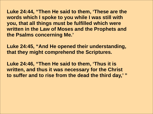**Luke 24:44, "Then He said to them, 'These are the words which I spoke to you while I was still with you, that all things must be fulfilled which were written in the Law of Moses and the Prophets and the Psalms concerning Me.'**

**Luke 24:45, "And He opened their understanding, that they might comprehend the Scriptures.** 

**Luke 24:46, "Then He said to them, 'Thus it is written, and thus it was necessary for the Christ to suffer and to rise from the dead the third day,' "**